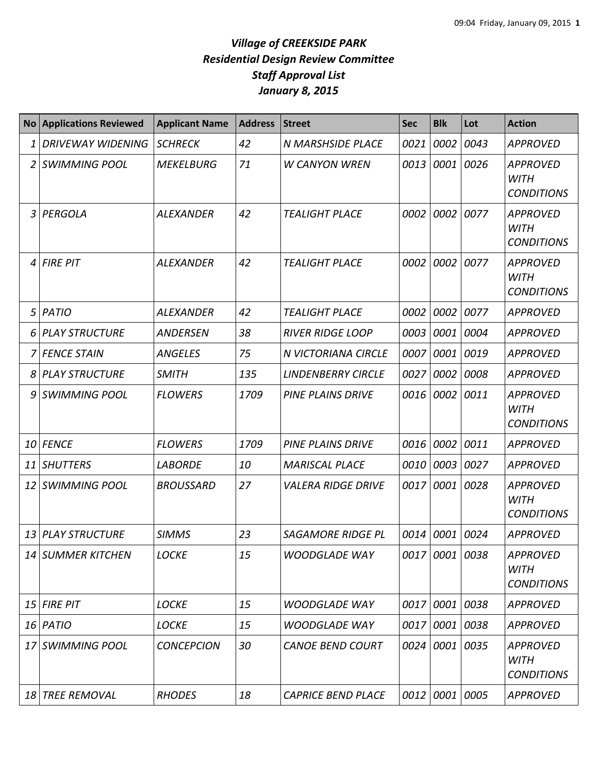| <b>No</b> | <b>Applications Reviewed</b> | <b>Applicant Name</b> | <b>Address</b> | <b>Street</b>             | <b>Sec</b> | <b>Blk</b>     | Lot  | <b>Action</b>                                       |
|-----------|------------------------------|-----------------------|----------------|---------------------------|------------|----------------|------|-----------------------------------------------------|
| 1         | <b>DRIVEWAY WIDENING</b>     | <b>SCHRECK</b>        | 42             | N MARSHSIDE PLACE         | 0021       | 0002           | 0043 | <b>APPROVED</b>                                     |
| 2         | <b>SWIMMING POOL</b>         | <b>MEKELBURG</b>      | 71             | <b>W CANYON WREN</b>      | 0013       | 0001           | 0026 | <b>APPROVED</b><br><b>WITH</b><br><b>CONDITIONS</b> |
| 3         | PERGOLA                      | <b>ALEXANDER</b>      | 42             | <b>TEALIGHT PLACE</b>     | 0002       | 0002           | 0077 | <b>APPROVED</b><br><b>WITH</b><br><b>CONDITIONS</b> |
| 4         | <b>FIRE PIT</b>              | <b>ALEXANDER</b>      | 42             | <b>TEALIGHT PLACE</b>     | 0002       | 0002           | 0077 | <b>APPROVED</b><br><b>WITH</b><br><b>CONDITIONS</b> |
| 5         | <b>PATIO</b>                 | <b>ALEXANDER</b>      | 42             | <b>TEALIGHT PLACE</b>     | 0002       | 0002           | 0077 | <b>APPROVED</b>                                     |
| 6         | <b>PLAY STRUCTURE</b>        | <b>ANDERSEN</b>       | 38             | <b>RIVER RIDGE LOOP</b>   | 0003       | 0001           | 0004 | <b>APPROVED</b>                                     |
|           | <b>FENCE STAIN</b>           | <b>ANGELES</b>        | 75             | N VICTORIANA CIRCLE       | 0007       | 0001           | 0019 | <b>APPROVED</b>                                     |
| 8         | <b>PLAY STRUCTURE</b>        | <b>SMITH</b>          | 135            | <b>LINDENBERRY CIRCLE</b> | 0027       | 0002           | 0008 | <b>APPROVED</b>                                     |
| 9         | <b>SWIMMING POOL</b>         | <b>FLOWERS</b>        | 1709           | <b>PINE PLAINS DRIVE</b>  | 0016       | 0002           | 0011 | <b>APPROVED</b><br><b>WITH</b><br><b>CONDITIONS</b> |
| 10        | <b>FENCE</b>                 | <b>FLOWERS</b>        | 1709           | PINE PLAINS DRIVE         | 0016       | 0002           | 0011 | <b>APPROVED</b>                                     |
| 11        | <b>SHUTTERS</b>              | <b>LABORDE</b>        | 10             | <b>MARISCAL PLACE</b>     | 0010       | 0003           | 0027 | <b>APPROVED</b>                                     |
| 12        | <b>SWIMMING POOL</b>         | <b>BROUSSARD</b>      | 27             | <b>VALERA RIDGE DRIVE</b> | 0017       | 0001           | 0028 | <b>APPROVED</b><br><b>WITH</b><br><b>CONDITIONS</b> |
| 13        | <b>PLAY STRUCTURE</b>        | <b>SIMMS</b>          | 23             | <b>SAGAMORE RIDGE PL</b>  | 0014       | 0001           | 0024 | <b>APPROVED</b>                                     |
|           | 14 SUMMER KITCHEN            | <b>LOCKE</b>          | 15             | <b>WOODGLADE WAY</b>      |            | 0017 0001 0038 |      | <b>APPROVED</b><br><b>WITH</b><br><b>CONDITIONS</b> |
|           | $15$ FIRE PIT                | <b>LOCKE</b>          | 15             | <b>WOODGLADE WAY</b>      |            | 0017 0001 0038 |      | <b>APPROVED</b>                                     |
|           | 16 PATIO                     | <b>LOCKE</b>          | 15             | <b>WOODGLADE WAY</b>      | 0017       | 0001           | 0038 | <b>APPROVED</b>                                     |
| 17        | <b>SWIMMING POOL</b>         | <b>CONCEPCION</b>     | 30             | <b>CANOE BEND COURT</b>   |            | 0024 0001      | 0035 | <b>APPROVED</b><br><b>WITH</b><br><b>CONDITIONS</b> |
|           | 18 TREE REMOVAL              | <b>RHODES</b>         | 18             | <b>CAPRICE BEND PLACE</b> |            | 0012 0001      | 0005 | <b>APPROVED</b>                                     |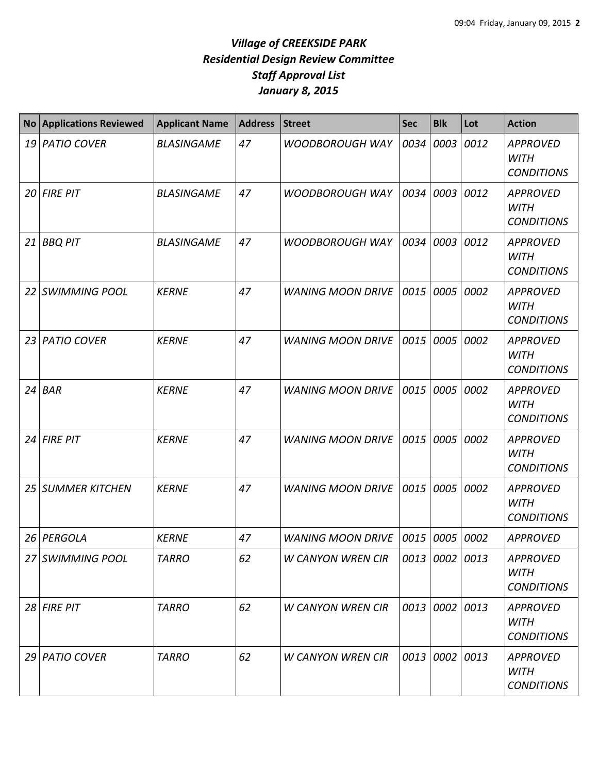| <b>No</b> | <b>Applications Reviewed</b> | <b>Applicant Name</b> | <b>Address</b> | <b>Street</b>            | <b>Sec</b> | <b>Blk</b>     | Lot  | <b>Action</b>                                       |
|-----------|------------------------------|-----------------------|----------------|--------------------------|------------|----------------|------|-----------------------------------------------------|
|           | 19 PATIO COVER               | <b>BLASINGAME</b>     | 47             | <b>WOODBOROUGH WAY</b>   | 0034       | 0003           | 0012 | <b>APPROVED</b><br><b>WITH</b><br><b>CONDITIONS</b> |
|           | $20$ FIRE PIT                | <b>BLASINGAME</b>     | 47             | <b>WOODBOROUGH WAY</b>   | 0034       | 0003           | 0012 | <b>APPROVED</b><br><b>WITH</b><br><b>CONDITIONS</b> |
| 21 I      | <b>BBQ PIT</b>               | <b>BLASINGAME</b>     | 47             | <b>WOODBOROUGH WAY</b>   | 0034       | 0003           | 0012 | <b>APPROVED</b><br><b>WITH</b><br><b>CONDITIONS</b> |
|           | 22 SWIMMING POOL             | <b>KERNE</b>          | 47             | <b>WANING MOON DRIVE</b> | 0015       | 0005           | 0002 | <b>APPROVED</b><br><b>WITH</b><br><b>CONDITIONS</b> |
|           | 23 PATIO COVER               | <b>KERNE</b>          | 47             | <b>WANING MOON DRIVE</b> | 0015       | 0005           | 0002 | <b>APPROVED</b><br><b>WITH</b><br><b>CONDITIONS</b> |
|           | $24$ BAR                     | <b>KERNE</b>          | 47             | <b>WANING MOON DRIVE</b> | 0015       | 0005           | 0002 | <b>APPROVED</b><br><b>WITH</b><br><b>CONDITIONS</b> |
|           | 24 FIRE PIT                  | <b>KERNE</b>          | 47             | <b>WANING MOON DRIVE</b> | 0015       | 0005           | 0002 | <b>APPROVED</b><br><b>WITH</b><br><b>CONDITIONS</b> |
|           | 25 SUMMER KITCHEN            | <b>KERNE</b>          | 47             | <b>WANING MOON DRIVE</b> | 0015       | 0005           | 0002 | <b>APPROVED</b><br><b>WITH</b><br><b>CONDITIONS</b> |
|           | 26 PERGOLA                   | <b>KERNE</b>          | 47             | <b>WANING MOON DRIVE</b> | 0015       | 0005           | 0002 | <b>APPROVED</b>                                     |
|           | 27 SWIMMING POOL             | <b>TARRO</b>          | 62             | <b>W CANYON WREN CIR</b> |            | 0013 0002 0013 |      | <b>APPROVED</b><br><b>WITH</b><br><b>CONDITIONS</b> |
|           | 28 FIRE PIT                  | <b>TARRO</b>          | 62             | <b>W CANYON WREN CIR</b> |            | 0013 0002 0013 |      | <b>APPROVED</b><br><b>WITH</b><br><b>CONDITIONS</b> |
|           | 29 PATIO COVER               | <b>TARRO</b>          | 62             | <b>W CANYON WREN CIR</b> | 0013       | $0002$ 0013    |      | <b>APPROVED</b><br><b>WITH</b><br><b>CONDITIONS</b> |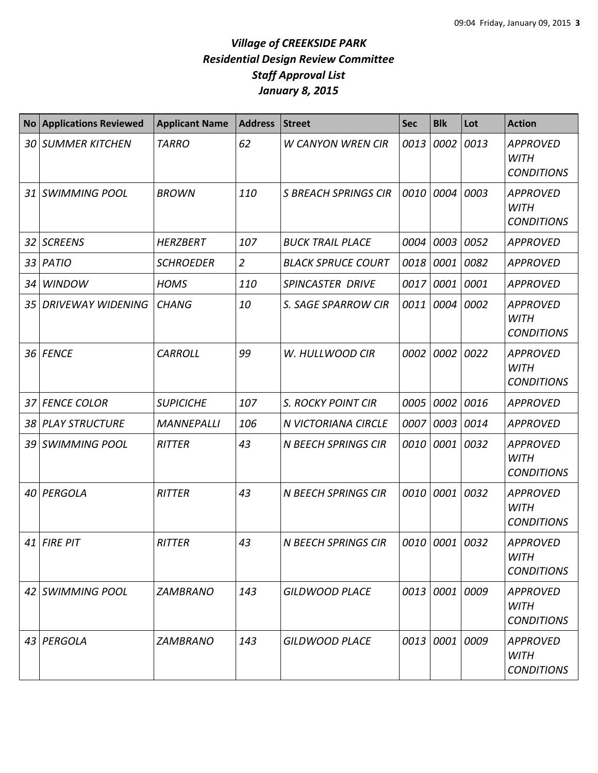| <b>No</b> | <b>Applications Reviewed</b> | <b>Applicant Name</b> | <b>Address</b> | <b>Street</b>               | <b>Sec</b> | <b>Blk</b> | Lot  | <b>Action</b>                                       |
|-----------|------------------------------|-----------------------|----------------|-----------------------------|------------|------------|------|-----------------------------------------------------|
|           | <b>30 SUMMER KITCHEN</b>     | <b>TARRO</b>          | 62             | <b>W CANYON WREN CIR</b>    | 0013       | 0002       | 0013 | <b>APPROVED</b><br><b>WITH</b><br><b>CONDITIONS</b> |
|           | 31 SWIMMING POOL             | <b>BROWN</b>          | 110            | <b>S BREACH SPRINGS CIR</b> | 0010       | 0004       | 0003 | <b>APPROVED</b><br><b>WITH</b><br><b>CONDITIONS</b> |
| 32        | <b>SCREENS</b>               | <b>HERZBERT</b>       | 107            | <b>BUCK TRAIL PLACE</b>     | 0004       | 0003       | 0052 | <b>APPROVED</b>                                     |
| 33        | <b>PATIO</b>                 | <b>SCHROEDER</b>      | $\overline{2}$ | <b>BLACK SPRUCE COURT</b>   | 0018       | 0001       | 0082 | <b>APPROVED</b>                                     |
| 34        | <b>WINDOW</b>                | <b>HOMS</b>           | 110            | SPINCASTER DRIVE            | 0017       | 0001 0001  |      | <b>APPROVED</b>                                     |
| 35        | <b>DRIVEWAY WIDENING</b>     | <b>CHANG</b>          | 10             | S. SAGE SPARROW CIR         | 0011       | 0004       | 0002 | <b>APPROVED</b><br><b>WITH</b><br><b>CONDITIONS</b> |
|           | 36 FENCE                     | <b>CARROLL</b>        | 99             | W. HULLWOOD CIR             | 0002       | 0002       | 0022 | <b>APPROVED</b><br><b>WITH</b><br><b>CONDITIONS</b> |
|           | 37 FENCE COLOR               | <b>SUPICICHE</b>      | 107            | S. ROCKY POINT CIR          | 0005       | 0002       | 0016 | <b>APPROVED</b>                                     |
| 381       | <b>PLAY STRUCTURE</b>        | <b>MANNEPALLI</b>     | 106            | N VICTORIANA CIRCLE         | 0007       | 0003       | 0014 | <b>APPROVED</b>                                     |
| 39        | <b>SWIMMING POOL</b>         | <b>RITTER</b>         | 43             | <b>N BEECH SPRINGS CIR</b>  | 0010       | 0001       | 0032 | <b>APPROVED</b><br><b>WITH</b><br><b>CONDITIONS</b> |
| 40 I      | PERGOLA                      | <b>RITTER</b>         | 43             | <b>N BEECH SPRINGS CIR</b>  | 0010       | 0001       | 0032 | <b>APPROVED</b><br><b>WITH</b><br><b>CONDITIONS</b> |
|           | 41 FIRE PIT                  | <b>RITTER</b>         | 43             | <b>N BEECH SPRINGS CIR</b>  | 0010       | 0001       | 0032 | <b>APPROVED</b><br><b>WITH</b><br><b>CONDITIONS</b> |
|           | 42 SWIMMING POOL             | <b>ZAMBRANO</b>       | 143            | <b>GILDWOOD PLACE</b>       | 0013       | 0001 0009  |      | <b>APPROVED</b><br><b>WITH</b><br><b>CONDITIONS</b> |
|           | 43 PERGOLA                   | <b>ZAMBRANO</b>       | 143            | <b>GILDWOOD PLACE</b>       | 0013       | 0001 0009  |      | <b>APPROVED</b><br><b>WITH</b><br><b>CONDITIONS</b> |